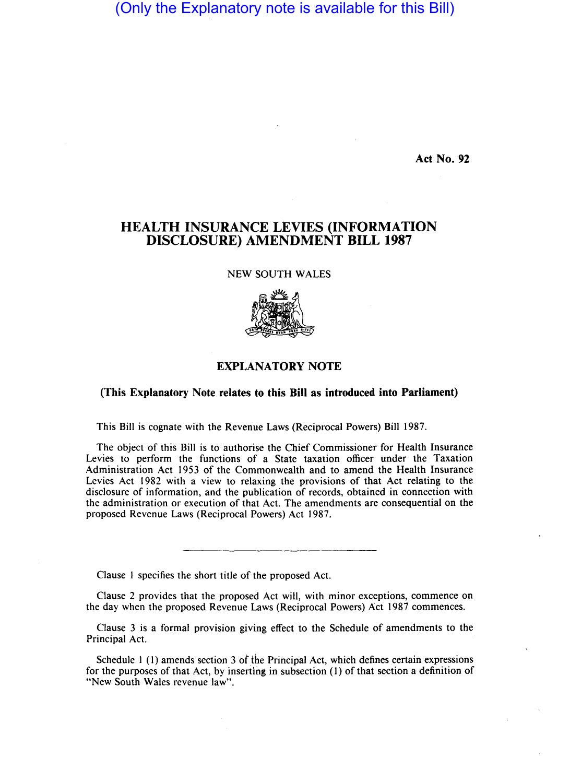## (Only the Explanatory note is available for this Bill)

Act No. 92

## HEALTH INSURANCE LEVIES (INFORMATION DISCLOSURE) AMENDMENT BILL 1987

NEW SOUTH WALES



## EXPLANATORY NOTE

## (This Explanatory Note relates to this Bill as introduced into Parliament)

This Bill is cognate with the Revenue Laws (Reciprocal Powers) Bill 1987.

The object of this Bill is to authorise the Chief Commissioner for Health Insurance Levies to perform the functions of a State taxation officer under the Taxation Administration Act 1953 of the Commonwealth and to amend the Health Insurance Levies Act 1982 with a view to relaxing the provisions of that Act relating to the disclosure of information, and the publication of records, obtained in connection with the administration or execution of that Act. The amendments are consequential on the proposed Revenue Laws (Reciprocal Powers) Act 1987.

Clause I specifies the short title of the proposed Act.

Clause 2 provides that the proposed Act will, with minor exceptions, commence on the day when the proposed Revenue Laws (Reciprocal Powers) Act 1987 commences.

Clause 3 is a formal provision giving effect to the Schedule of amendments to the Principal Act.

Schedule I (I) amends section 3 of the Principal Act, which defines certain expressions for the purposes of that Act, by inserting in subsection (1) of that section a definition of "New South Wales revenue law".